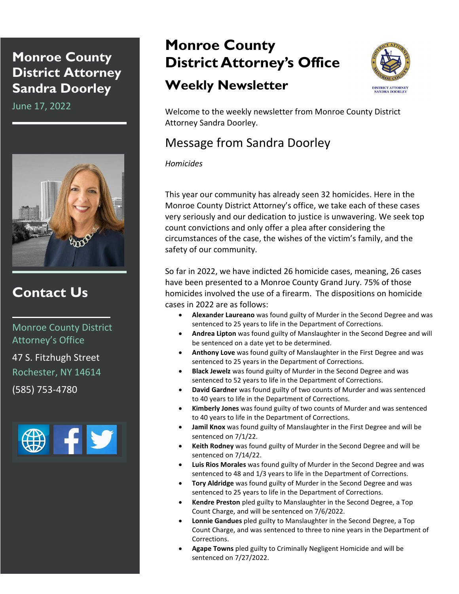## **Monroe County District Attorney Sandra Doorley**

June 17, 2022



## **Contact Us**

Monroe County District Attorney's Office 47 S. Fitzhugh Street

Rochester, NY 14614

(585) 753-4780



## **Monroe County District Attorney's Office**

## **Weekly Newsletter**



Welcome to the weekly newsletter from Monroe County District Attorney Sandra Doorley.

## Message from Sandra Doorley

#### *Homicides*

This year our community has already seen 32 homicides. Here in the Monroe County District Attorney's office, we take each of these cases very seriously and our dedication to justice is unwavering. We seek top count convictions and only offer a plea after considering the circumstances of the case, the wishes of the victim's family, and the safety of our community.

So far in 2022, we have indicted 26 homicide cases, meaning, 26 cases have been presented to a Monroe County Grand Jury. 75% of those homicides involved the use of a firearm. The dispositions on homicide cases in 2022 are as follows:

- **Alexander Laureano** was found guilty of Murder in the Second Degree and was sentenced to 25 years to life in the Department of Corrections.
- **Andrea Lipton** was found guilty of Manslaughter in the Second Degree and will be sentenced on a date yet to be determined.
- **Anthony Love** was found guilty of Manslaughter in the First Degree and was sentenced to 25 years in the Department of Corrections.
- **Black Jewelz** was found guilty of Murder in the Second Degree and was sentenced to 52 years to life in the Department of Corrections.
- **David Gardner** was found guilty of two counts of Murder and was sentenced to 40 years to life in the Department of Corrections.
- **Kimberly Jones** was found guilty of two counts of Murder and was sentenced to 40 years to life in the Department of Corrections.
- **Jamil Knox** was found guilty of Manslaughter in the First Degree and will be sentenced on 7/1/22.
- **Keith Rodney** was found guilty of Murder in the Second Degree and will be sentenced on 7/14/22.
- **Luis Rios Morales** was found guilty of Murder in the Second Degree and was sentenced to 48 and 1/3 years to life in the Department of Corrections.
- **Tory Aldridge** was found guilty of Murder in the Second Degree and was sentenced to 25 years to life in the Department of Corrections.
- **Kendre Preston** pled guilty to Manslaughter in the Second Degree, a Top Count Charge, and will be sentenced on 7/6/2022.
- **Lonnie Gandues** pled guilty to Manslaughter in the Second Degree, a Top Count Charge, and was sentenced to three to nine years in the Department of Corrections.
- **Agape Towns** pled guilty to Criminally Negligent Homicide and will be sentenced on 7/27/2022.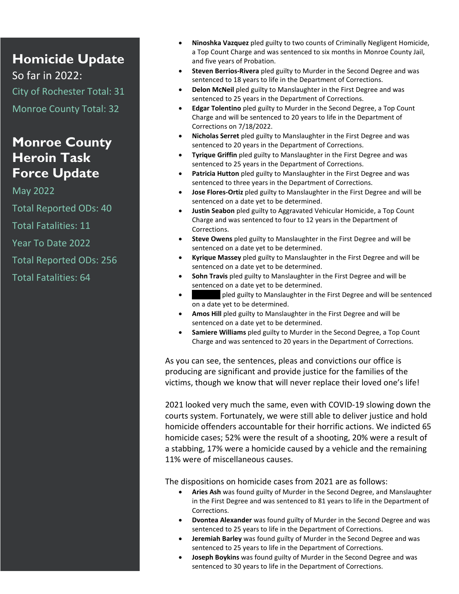# **Homicide Update**

So far in 2022: City of Rochester Total: 31 Monroe County Total: 32

## **Monroe County Heroin Task Force Update**

May 2022 Total Reported ODs: 40 Total Fatalities: 11 Year To Date 2022

Total Reported ODs: 256

Total Fatalities: 64

- **Ninoshka Vazquez** pled guilty to two counts of Criminally Negligent Homicide, a Top Count Charge and was sentenced to six months in Monroe County Jail, and five years of Probation.
- **Steven Berrios-Rivera** pled guilty to Murder in the Second Degree and was sentenced to 18 years to life in the Department of Corrections.
- **Delon McNeil** pled guilty to Manslaughter in the First Degree and was sentenced to 25 years in the Department of Corrections.
- **Edgar Tolentino** pled guilty to Murder in the Second Degree, a Top Count Charge and will be sentenced to 20 years to life in the Department of Corrections on 7/18/2022.
- **Nicholas Serret** pled guilty to Manslaughter in the First Degree and was sentenced to 20 years in the Department of Corrections.
- **Tyrique Griffin** pled guilty to Manslaughter in the First Degree and was sentenced to 25 years in the Department of Corrections.
- **Patricia Hutton** pled guilty to Manslaughter in the First Degree and was sentenced to three years in the Department of Corrections.
- **Jose Flores-Ortiz** pled guilty to Manslaughter in the First Degree and will be sentenced on a date yet to be determined.
- **Justin Seabon** pled guilty to Aggravated Vehicular Homicide, a Top Count Charge and was sentenced to four to 12 years in the Department of Corrections.
- **Steve Owens** pled guilty to Manslaughter in the First Degree and will be sentenced on a date yet to be determined.
- **Kyrique Massey** pled guilty to Manslaughter in the First Degree and will be sentenced on a date yet to be determined.
- **Sohn Travis** pled guilty to Manslaughter in the First Degree and will be sentenced on a date yet to be determined.
- Initially pled guilty to Manslaughter in the First Degree and will be sentenced on a date yet to be determined.
- **Amos Hill** pled guilty to Manslaughter in the First Degree and will be sentenced on a date yet to be determined.
- **Samiere Williams** pled guilty to Murder in the Second Degree, a Top Count Charge and was sentenced to 20 years in the Department of Corrections.

As you can see, the sentences, pleas and convictions our office is producing are significant and provide justice for the families of the victims, though we know that will never replace their loved one's life!

2021 looked very much the same, even with COVID-19 slowing down the courts system. Fortunately, we were still able to deliver justice and hold homicide offenders accountable for their horrific actions. We indicted 65 homicide cases; 52% were the result of a shooting, 20% were a result of a stabbing, 17% were a homicide caused by a vehicle and the remaining 11% were of miscellaneous causes.

The dispositions on homicide cases from 2021 are as follows:

- **Aries Ash** was found guilty of Murder in the Second Degree, and Manslaughter in the First Degree and was sentenced to 81 years to life in the Department of Corrections.
- **Dvontea Alexander** was found guilty of Murder in the Second Degree and was sentenced to 25 years to life in the Department of Corrections.
- **Jeremiah Barley** was found guilty of Murder in the Second Degree and was sentenced to 25 years to life in the Department of Corrections.
- **Joseph Boykins** was found guilty of Murder in the Second Degree and was sentenced to 30 years to life in the Department of Corrections.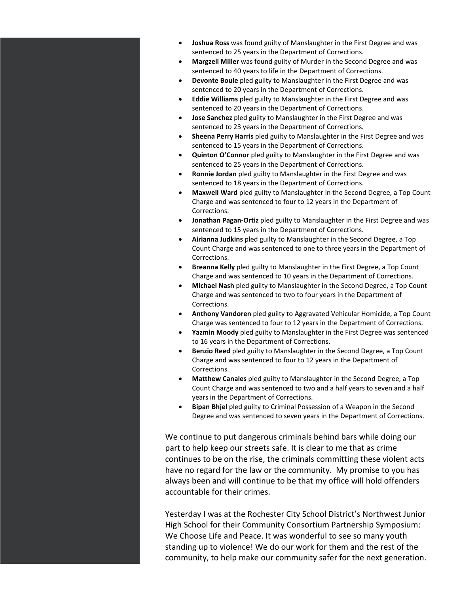- **Joshua Ross** was found guilty of Manslaughter in the First Degree and was sentenced to 25 years in the Department of Corrections.
- **Margzell Miller** was found guilty of Murder in the Second Degree and was sentenced to 40 years to life in the Department of Corrections.
- **Devonte Bouie** pled guilty to Manslaughter in the First Degree and was sentenced to 20 years in the Department of Corrections.
- **Eddie Williams** pled guilty to Manslaughter in the First Degree and was sentenced to 20 years in the Department of Corrections.
- **Jose Sanchez** pled guilty to Manslaughter in the First Degree and was sentenced to 23 years in the Department of Corrections.
- **Sheena Perry Harris** pled guilty to Manslaughter in the First Degree and was sentenced to 15 years in the Department of Corrections.
- **Quinton O'Connor** pled guilty to Manslaughter in the First Degree and was sentenced to 25 years in the Department of Corrections.
- **Ronnie Jordan** pled guilty to Manslaughter in the First Degree and was sentenced to 18 years in the Department of Corrections.
- **Maxwell Ward** pled guilty to Manslaughter in the Second Degree, a Top Count Charge and was sentenced to four to 12 years in the Department of Corrections.
- **Jonathan Pagan-Ortiz** pled guilty to Manslaughter in the First Degree and was sentenced to 15 years in the Department of Corrections.
- **Airianna Judkins** pled guilty to Manslaughter in the Second Degree, a Top Count Charge and was sentenced to one to three years in the Department of Corrections.
- **Breanna Kelly** pled guilty to Manslaughter in the First Degree, a Top Count Charge and was sentenced to 10 years in the Department of Corrections.
- **Michael Nash** pled guilty to Manslaughter in the Second Degree, a Top Count Charge and was sentenced to two to four years in the Department of Corrections.
- **Anthony Vandoren** pled guilty to Aggravated Vehicular Homicide, a Top Count Charge was sentenced to four to 12 years in the Department of Corrections.
- **Yazmin Moody** pled guilty to Manslaughter in the First Degree was sentenced to 16 years in the Department of Corrections.
- **Benzio Reed** pled guilty to Manslaughter in the Second Degree, a Top Count Charge and was sentenced to four to 12 years in the Department of Corrections.
- **Matthew Canales** pled guilty to Manslaughter in the Second Degree, a Top Count Charge and was sentenced to two and a half years to seven and a half years in the Department of Corrections.
- **Bipan Bhjel** pled guilty to Criminal Possession of a Weapon in the Second Degree and was sentenced to seven years in the Department of Corrections.

We continue to put dangerous criminals behind bars while doing our part to help keep our streets safe. It is clear to me that as crime continues to be on the rise, the criminals committing these violent acts have no regard for the law or the community. My promise to you has always been and will continue to be that my office will hold offenders accountable for their crimes.

Yesterday I was at the Rochester City School District's Northwest Junior High School for their Community Consortium Partnership Symposium: We Choose Life and Peace. It was wonderful to see so many youth standing up to violence! We do our work for them and the rest of the community, to help make our community safer for the next generation.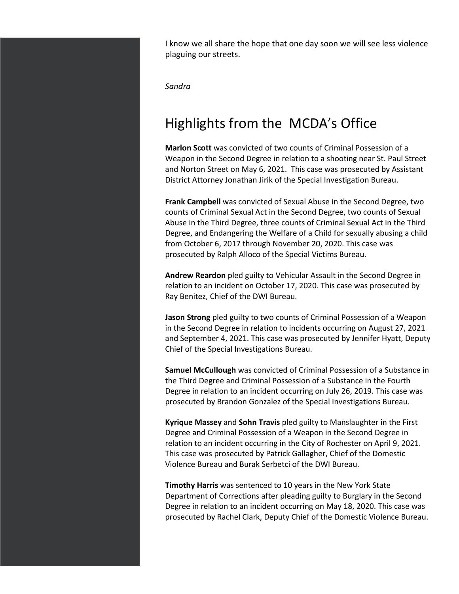I know we all share the hope that one day soon we will see less violence plaguing our streets.

*Sandra*

## Highlights from the MCDA's Office

**Marlon Scott** was convicted of two counts of Criminal Possession of a Weapon in the Second Degree in relation to a shooting near St. Paul Street and Norton Street on May 6, 2021. This case was prosecuted by Assistant District Attorney Jonathan Jirik of the Special Investigation Bureau.

**Frank Campbell** was convicted of Sexual Abuse in the Second Degree, two counts of Criminal Sexual Act in the Second Degree, two counts of Sexual Abuse in the Third Degree, three counts of Criminal Sexual Act in the Third Degree, and Endangering the Welfare of a Child for sexually abusing a child from October 6, 2017 through November 20, 2020. This case was prosecuted by Ralph Alloco of the Special Victims Bureau.

**Andrew Reardon** pled guilty to Vehicular Assault in the Second Degree in relation to an incident on October 17, 2020. This case was prosecuted by Ray Benitez, Chief of the DWI Bureau.

**Jason Strong** pled guilty to two counts of Criminal Possession of a Weapon in the Second Degree in relation to incidents occurring on August 27, 2021 and September 4, 2021. This case was prosecuted by Jennifer Hyatt, Deputy Chief of the Special Investigations Bureau.

**Samuel McCullough** was convicted of Criminal Possession of a Substance in the Third Degree and Criminal Possession of a Substance in the Fourth Degree in relation to an incident occurring on July 26, 2019. This case was prosecuted by Brandon Gonzalez of the Special Investigations Bureau.

**Kyrique Massey** and **Sohn Travis** pled guilty to Manslaughter in the First Degree and Criminal Possession of a Weapon in the Second Degree in relation to an incident occurring in the City of Rochester on April 9, 2021. This case was prosecuted by Patrick Gallagher, Chief of the Domestic Violence Bureau and Burak Serbetci of the DWI Bureau.

**Timothy Harris** was sentenced to 10 years in the New York State Department of Corrections after pleading guilty to Burglary in the Second Degree in relation to an incident occurring on May 18, 2020. This case was prosecuted by Rachel Clark, Deputy Chief of the Domestic Violence Bureau.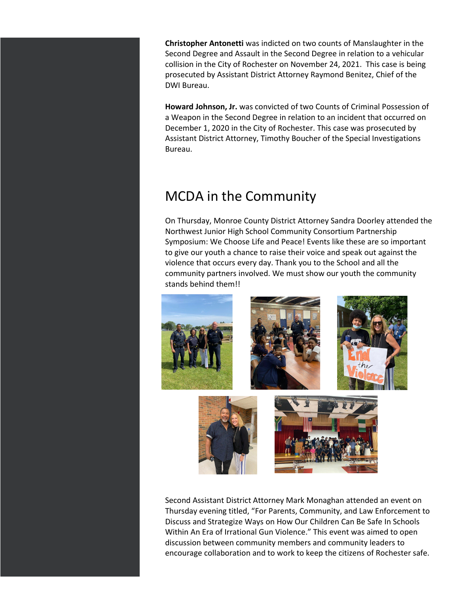**Christopher Antonetti** was indicted on two counts of Manslaughter in the Second Degree and Assault in the Second Degree in relation to a vehicular collision in the City of Rochester on November 24, 2021. This case is being prosecuted by Assistant District Attorney Raymond Benitez, Chief of the DWI Bureau.

**Howard Johnson, Jr.** was convicted of two Counts of Criminal Possession of a Weapon in the Second Degree in relation to an incident that occurred on December 1, 2020 in the City of Rochester. This case was prosecuted by Assistant District Attorney, Timothy Boucher of the Special Investigations Bureau.

## MCDA in the Community

On Thursday, Monroe County District Attorney Sandra Doorley attended the Northwest Junior High School Community Consortium Partnership Symposium: We Choose Life and Peace! Events like these are so important to give our youth a chance to raise their voice and speak out against the violence that occurs every day. Thank you to the School and all the community partners involved. We must show our youth the community stands behind them!!



Second Assistant District Attorney Mark Monaghan attended an event on Thursday evening titled, "For Parents, Community, and Law Enforcement to Discuss and Strategize Ways on How Our Children Can Be Safe In Schools Within An Era of Irrational Gun Violence." This event was aimed to open discussion between community members and community leaders to encourage collaboration and to work to keep the citizens of Rochester safe.